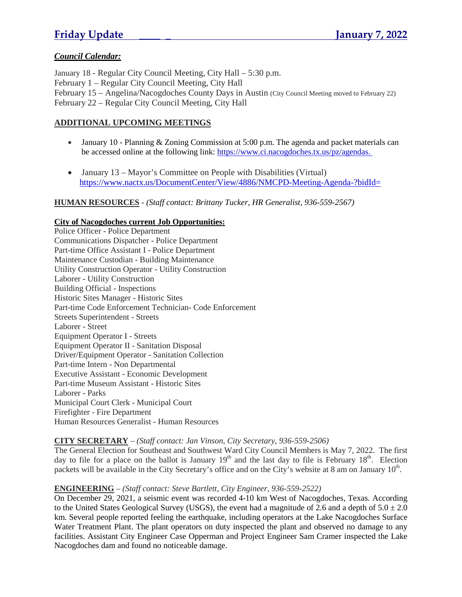# *Council Calendar:*

January 18 - Regular City Council Meeting, City Hall – 5:30 p.m. February 1 – Regular City Council Meeting, City Hall February 15 – Angelina/Nacogdoches County Days in Austin (City Council Meeting moved to February 22) February 22 – Regular City Council Meeting, City Hall

# **ADDITIONAL UPCOMING MEETINGS**

- January 10 Planning  $& Z$ oning Commission at 5:00 p.m. The agenda and packet materials can be accessed online at the following link: https://www.ci.nacogdoches.tx.us/pz/agendas.
- January 13 Mayor's Committee on People with Disabilities (Virtual) https://www.nactx.us/DocumentCenter/View/4886/NMCPD-Meeting-Agenda-?bidId=

# **HUMAN RESOURCES** - *(Staff contact: Brittany Tucker, HR Generalist, 936-559-2567)*

# **City of Nacogdoches current Job Opportunities:**

Police Officer - Police Department Communications Dispatcher - Police Department Part-time Office Assistant I - Police Department Maintenance Custodian - Building Maintenance Utility Construction Operator - Utility Construction Laborer - Utility Construction Building Official - Inspections Historic Sites Manager - Historic Sites Part-time Code Enforcement Technician- Code Enforcement Streets Superintendent - Streets Laborer - Street Equipment Operator I - Streets Equipment Operator II - Sanitation Disposal Driver/Equipment Operator - Sanitation Collection Part-time Intern - Non Departmental Executive Assistant - Economic Development Part-time Museum Assistant - Historic Sites Laborer - Parks Municipal Court Clerk - Municipal Court Firefighter - Fire Department Human Resources Generalist - Human Resources

## **CITY SECRETARY** – *(Staff contact: Jan Vinson, City Secretary, 936-559-2506)*

The General Election for Southeast and Southwest Ward City Council Members is May 7, 2022. The first day to file for a place on the ballot is January  $19<sup>th</sup>$  and the last day to file is February  $18<sup>th</sup>$ . Election packets will be available in the City Secretary's office and on the City's website at 8 am on January 10<sup>th</sup>.

# **ENGINEERING** – *(Staff contact: Steve Bartlett, City Engineer, 936-559-2522)*

On December 29, 2021, a seismic event was recorded 4-10 km West of Nacogdoches, Texas. According to the United States Geological Survey (USGS), the event had a magnitude of 2.6 and a depth of  $5.0 \pm 2.0$ km. Several people reported feeling the earthquake, including operators at the Lake Nacogdoches Surface Water Treatment Plant. The plant operators on duty inspected the plant and observed no damage to any facilities. Assistant City Engineer Case Opperman and Project Engineer Sam Cramer inspected the Lake Nacogdoches dam and found no noticeable damage.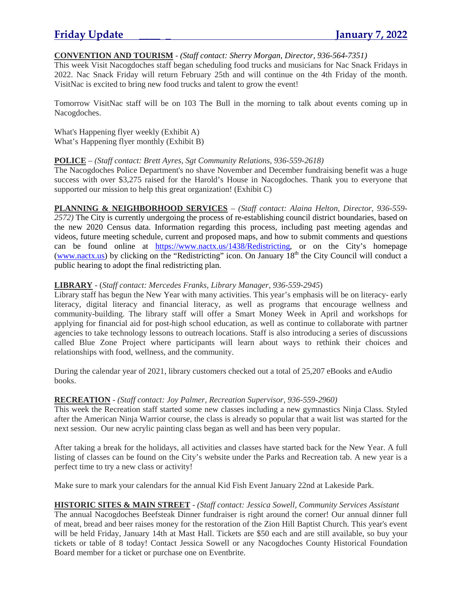# **CONVENTION AND TOURISM** - *(Staff contact: Sherry Morgan, Director, 936-564-7351)*

This week Visit Nacogdoches staff began scheduling food trucks and musicians for Nac Snack Fridays in 2022. Nac Snack Friday will return February 25th and will continue on the 4th Friday of the month. VisitNac is excited to bring new food trucks and talent to grow the event!

Tomorrow VisitNac staff will be on 103 The Bull in the morning to talk about events coming up in Nacogdoches.

What's Happening flyer weekly (Exhibit A) What's Happening flyer monthly (Exhibit B)

### **POLICE** – *(Staff contact: Brett Ayres, Sgt Community Relations, 936-559-2618)*

The Nacogdoches Police Department's no shave November and December fundraising benefit was a huge success with over \$3,275 raised for the Harold's House in Nacogdoches. Thank you to everyone that supported our mission to help this great organization! (Exhibit C)

**PLANNING & NEIGHBORHOOD SERVICES** – *(Staff contact: Alaina Helton, Director, 936-559- 2572)* The City is currently undergoing the process of re-establishing council district boundaries, based on the new 2020 Census data. Information regarding this process, including past meeting agendas and videos, future meeting schedule, current and proposed maps, and how to submit comments and questions can be found online at https://www.nactx.us/1438/Redistricting, or on the City's homepage (www.nactx.us) by clicking on the "Redistricting" icon. On January  $18<sup>th</sup>$  the City Council will conduct a public hearing to adopt the final redistricting plan.

## **LIBRARY** - (*Staff contact: Mercedes Franks, Library Manager, 936-559-2945*)

Library staff has begun the New Year with many activities. This year's emphasis will be on literacy- early literacy, digital literacy and financial literacy, as well as programs that encourage wellness and community-building. The library staff will offer a Smart Money Week in April and workshops for applying for financial aid for post-high school education, as well as continue to collaborate with partner agencies to take technology lessons to outreach locations. Staff is also introducing a series of discussions called Blue Zone Project where participants will learn about ways to rethink their choices and relationships with food, wellness, and the community.

During the calendar year of 2021, library customers checked out a total of 25,207 eBooks and eAudio books.

### **RECREATION** - *(Staff contact: Joy Palmer, Recreation Supervisor, 936-559-2960)*

This week the Recreation staff started some new classes including a new gymnastics Ninja Class. Styled after the American Ninja Warrior course, the class is already so popular that a wait list was started for the next session. Our new acrylic painting class began as well and has been very popular.

After taking a break for the holidays, all activities and classes have started back for the New Year. A full listing of classes can be found on the City's website under the Parks and Recreation tab. A new year is a perfect time to try a new class or activity!

Make sure to mark your calendars for the annual Kid Fish Event January 22nd at Lakeside Park.

## **HISTORIC SITES & MAIN STREET** - *(Staff contact: Jessica Sowell, Community Services Assistant*

The annual Nacogdoches Beefsteak Dinner fundraiser is right around the corner! Our annual dinner full of meat, bread and beer raises money for the restoration of the Zion Hill Baptist Church. This year's event will be held Friday, January 14th at Mast Hall. Tickets are \$50 each and are still available, so buy your tickets or table of 8 today! Contact Jessica Sowell or any Nacogdoches County Historical Foundation Board member for a ticket or purchase one on Eventbrite.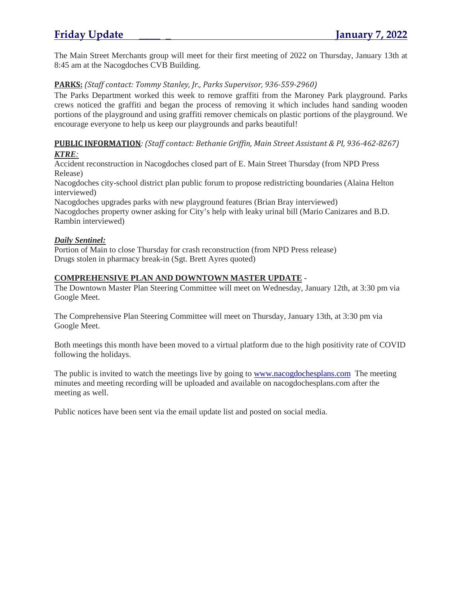The Main Street Merchants group will meet for their first meeting of 2022 on Thursday, January 13th at 8:45 am at the Nacogdoches CVB Building.

# **PARKS:** *(Staff contact: Tommy Stanley, Jr., Parks Supervisor, 936-559-2960)*

The Parks Department worked this week to remove graffiti from the Maroney Park playground. Parks crews noticed the graffiti and began the process of removing it which includes hand sanding wooden portions of the playground and using graffiti remover chemicals on plastic portions of the playground. We encourage everyone to help us keep our playgrounds and parks beautiful!

# **PUBLIC INFORMATION***: (Staff contact: Bethanie Griffin, Main Street Assistant & PI, 936-462-8267)*

# *KTRE:*

Accident reconstruction in Nacogdoches closed part of E. Main Street Thursday (from NPD Press Release)

Nacogdoches city-school district plan public forum to propose redistricting boundaries (Alaina Helton interviewed)

Nacogdoches upgrades parks with new playground features (Brian Bray interviewed) Nacogdoches property owner asking for City's help with leaky urinal bill (Mario Canizares and B.D. Rambin interviewed)

# *Daily Sentinel:*

Portion of Main to close Thursday for crash reconstruction (from NPD Press release) Drugs stolen in pharmacy break-in (Sgt. Brett Ayres quoted)

# **COMPREHENSIVE PLAN AND DOWNTOWN MASTER UPDATE** -

The Downtown Master Plan Steering Committee will meet on Wednesday, January 12th, at 3:30 pm via Google Meet.

The Comprehensive Plan Steering Committee will meet on Thursday, January 13th, at 3:30 pm via Google Meet.

Both meetings this month have been moved to a virtual platform due to the high positivity rate of COVID following the holidays.

The public is invited to watch the meetings live by going to www.nacogdochesplans.com The meeting minutes and meeting recording will be uploaded and available on nacogdochesplans.com after the meeting as well.

Public notices have been sent via the email update list and posted on social media.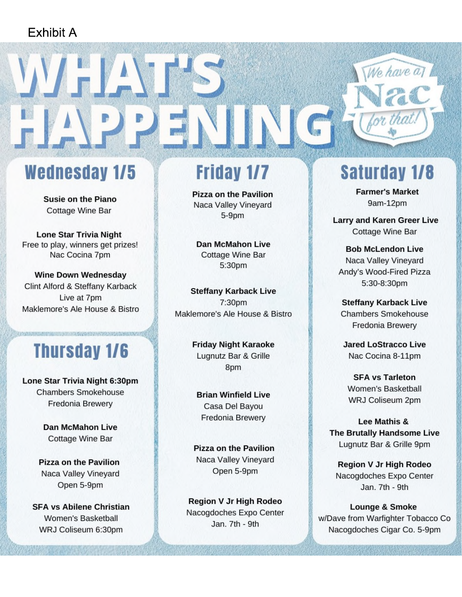# Exhibit A

# **Wednesday 1/5**

WELL

**Susie on the Piano Cottage Wine Bar** 

**Lone Star Trivia Night** Free to play, winners get prizes! Nac Cocina 7pm

**Wine Down Wednesday** Clint Alford & Steffany Karback Live at 7pm Maklemore's Ale House & Bistro

# **Thursday 1/6**

Lone Star Trivia Night 6:30pm **Chambers Smokehouse Fredonia Brewerv** 

> **Dan McMahon Live Cottage Wine Bar**

Pizza on the Pavilion Naca Valley Vineyard Open 5-9pm

**SFA vs Abilene Christian** Women's Basketball WRJ Coliseum 6:30pm

# **Friday 1/7**

**Pizza on the Pavilion** Naca Valley Vineyard  $5-9<sub>pm</sub>$ 

**Dan McMahon Live** Cottage Wine Bar 5:30pm

**Steffany Karback Live** 7:30pm Maklemore's Ale House & Bistro

> **Friday Night Karaoke** Lugnutz Bar & Grille 8pm

**Brian Winfield Live** Casa Del Bayou Fredonia Brewery

**Pizza on the Pavilion** Naca Valley Vineyard Open 5-9pm

Region V Jr High Rodeo Nacogdoches Expo Center Jan. 7th - 9th

# **Saturday 1/8**

We have a

**Farmer's Market** 9am-12pm

**Larry and Karen Greer Live Cottage Wine Bar** 

**Bob McLendon Live** Naca Valley Vineyard Andy's Wood-Fired Pizza 5:30-8:30pm

**Steffany Karback Live Chambers Smokehouse** Fredonia Brewery

**Jared LoStracco Live** Nac Cocina 8-11pm

**SFA vs Tarleton** Women's Basketball WRJ Coliseum 2pm

Lee Mathis & **The Brutally Handsome Live** Lugnutz Bar & Grille 9pm

Region V Jr High Rodeo Nacogdoches Expo Center Jan. 7th - 9th

**Lounge & Smoke** w/Dave from Warfighter Tobacco Co Nacogdoches Cigar Co. 5-9pm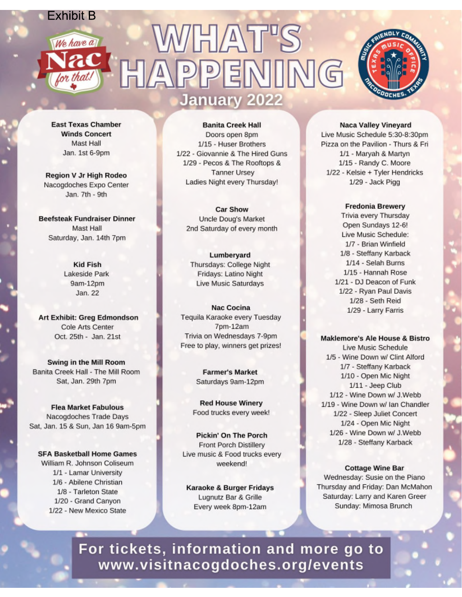# **Exhibit B WHAT'S** We have a  $ac$ HAPPENI  $\sqrt{G}$ **January 2022**



**East Texas Chamber Winds Concert** Mast Hall Jan. 1st 6-9pm

**Region V Jr High Rodeo** Nacogdoches Expo Center Jan. 7th - 9th

**Beefsteak Fundraiser Dinner** Mast Hall Saturday, Jan. 14th 7pm

> **Kid Fish** Lakeside Park 9am-12pm Jan. 22

**Art Exhibit: Greg Edmondson** Cole Arts Center Oct. 25th - Jan. 21st

Swing in the Mill Room Banita Creek Hall - The Mill Room Sat, Jan. 29th 7pm

**Flea Market Fabulous** Nacogdoches Trade Days Sat, Jan. 15 & Sun, Jan 16 9am-5pm

**SFA Basketball Home Games** William R. Johnson Coliseum 1/1 - Lamar University 1/6 - Abilene Christian 1/8 - Tarleton State 1/20 - Grand Canyon 1/22 - New Mexico State

**Banita Creek Hall** Doors open 8pm 1/15 - Huser Brothers 1/22 - Giovannie & The Hired Guns 1/29 - Pecos & The Rooftops & **Tanner Ursey** Ladies Night every Thursday!

**Car Show** Uncle Doug's Market 2nd Saturday of every month

Lumberyard Thursdays: College Night Fridays: Latino Night Live Music Saturdays

**Nac Cocina** Tequila Karaoke every Tuesday 7pm-12am Trivia on Wednesdays 7-9pm Free to play, winners get prizes!

> **Farmer's Market** Saturdays 9am-12pm

**Red House Winery** Food trucks every week!

**Pickin' On The Porch** Front Porch Distillery Live music & Food trucks every weekend!

**Karaoke & Burger Fridays** Lugnutz Bar & Grille Every week 8pm-12am

**Naca Valley Vineyard** 

Live Music Schedule 5:30-8:30pm Pizza on the Pavilion - Thurs & Fri 1/1 - Maryah & Martyn 1/15 - Randy C. Moore 1/22 - Kelsie + Tyler Hendricks 1/29 - Jack Pigg

**Fredonia Brewery** 

Trivia every Thursday Open Sundays 12-6! Live Music Schedule: 1/7 - Brian Winfield 1/8 - Steffany Karback 1/14 - Selah Burns 1/15 - Hannah Rose 1/21 - DJ Deacon of Funk 1/22 - Ryan Paul Davis 1/28 - Seth Reid 1/29 - Larry Farris

### Maklemore's Ale House & Bistro

Live Music Schedule 1/5 - Wine Down w/ Clint Alford 1/7 - Steffany Karback 1/10 - Open Mic Night 1/11 - Jeep Club 1/12 - Wine Down w/ J.Webb 1/19 - Wine Down w/ Ian Chandler 1/22 - Sleep Juliet Concert 1/24 - Open Mic Night 1/26 - Wine Down w/ J.Webb 1/28 - Steffany Karback

## **Cottage Wine Bar**

Wednesday: Susie on the Piano Thursday and Friday: Dan McMahon Saturday: Larry and Karen Greer Sunday: Mimosa Brunch

For tickets, information and more go to www.visitnacogdoches.org/events